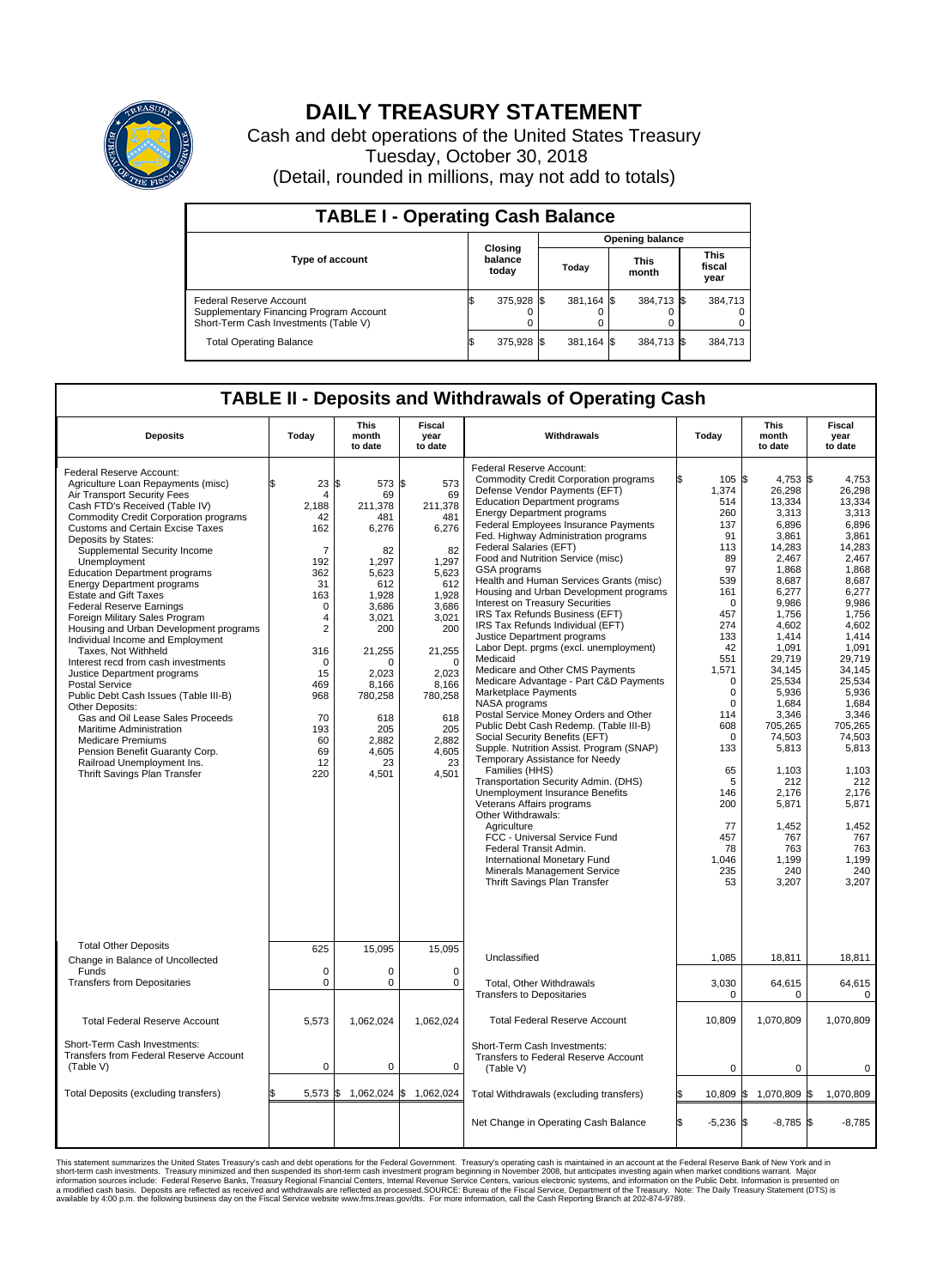

## **DAILY TREASURY STATEMENT**

Cash and debt operations of the United States Treasury Tuesday, October 30, 2018 (Detail, rounded in millions, may not add to totals)

| <b>TABLE I - Operating Cash Balance</b>                                                                     |    |                             |       |                        |                      |            |                               |         |  |  |
|-------------------------------------------------------------------------------------------------------------|----|-----------------------------|-------|------------------------|----------------------|------------|-------------------------------|---------|--|--|
|                                                                                                             |    |                             |       | <b>Opening balance</b> |                      |            |                               |         |  |  |
| Type of account                                                                                             |    | Closing<br>balance<br>today | Today |                        | <b>This</b><br>month |            | <b>This</b><br>fiscal<br>year |         |  |  |
| Federal Reserve Account<br>Supplementary Financing Program Account<br>Short-Term Cash Investments (Table V) |    | 375,928 \$                  |       | 381.164 \$             |                      | 384,713 \$ |                               | 384,713 |  |  |
| <b>Total Operating Balance</b>                                                                              | ß. | 375,928 \$                  |       | 381,164 \$             |                      | 384,713 \$ |                               | 384,713 |  |  |

## **TABLE II - Deposits and Withdrawals of Operating Cash**

| <b>Deposits</b>                                                                  | Today          | <b>This</b><br>month<br>to date | <b>Fiscal</b><br>year<br>to date | Withdrawals                                  | Today             | <b>This</b><br>month<br>to date | <b>Fiscal</b><br>year<br>to date |  |  |
|----------------------------------------------------------------------------------|----------------|---------------------------------|----------------------------------|----------------------------------------------|-------------------|---------------------------------|----------------------------------|--|--|
| Federal Reserve Account:                                                         |                |                                 |                                  | Federal Reserve Account:                     |                   |                                 |                                  |  |  |
|                                                                                  | \$             |                                 |                                  | <b>Commodity Credit Corporation programs</b> | 105S<br>ß.        | 4,753 \$                        | 4.753                            |  |  |
| Agriculture Loan Repayments (misc)                                               | 23             | l\$<br>573 \$                   | 573                              | Defense Vendor Payments (EFT)                | 1,374             | 26,298                          | 26,298                           |  |  |
| Air Transport Security Fees                                                      | $\overline{4}$ | 69                              | 69                               | <b>Education Department programs</b>         | 514               | 13,334                          | 13,334                           |  |  |
| Cash FTD's Received (Table IV)                                                   | 2.188          | 211.378                         | 211.378                          | <b>Energy Department programs</b>            | 260               | 3,313                           | 3,313                            |  |  |
| <b>Commodity Credit Corporation programs</b><br>Customs and Certain Excise Taxes | 42             | 481                             | 481                              | <b>Federal Employees Insurance Payments</b>  | 137               | 6,896                           | 6,896                            |  |  |
| Deposits by States:                                                              | 162            | 6,276                           | 6,276                            | Fed. Highway Administration programs         | 91                | 3,861                           | 3,861                            |  |  |
|                                                                                  | $\overline{7}$ |                                 |                                  | Federal Salaries (EFT)                       | 113               | 14,283                          | 14.283                           |  |  |
| Supplemental Security Income                                                     |                | 82                              | 82<br>1.297                      | Food and Nutrition Service (misc)            | 89                | 2,467                           | 2,467                            |  |  |
| Unemployment                                                                     | 192            | 1,297                           | 5,623                            | <b>GSA</b> programs                          | 97                | 1,868                           | 1.868                            |  |  |
| <b>Education Department programs</b>                                             | 362            | 5,623                           |                                  | Health and Human Services Grants (misc)      | 539               | 8,687                           | 8,687                            |  |  |
| <b>Energy Department programs</b>                                                | 31             | 612                             | 612                              | Housing and Urban Development programs       | 161               | 6,277                           | 6,277                            |  |  |
| <b>Estate and Gift Taxes</b>                                                     | 163            | 1,928                           | 1,928                            | Interest on Treasury Securities              | $\mathbf 0$       | 9,986                           | 9,986                            |  |  |
| <b>Federal Reserve Earnings</b>                                                  | $\mathbf 0$    | 3.686                           | 3,686                            | IRS Tax Refunds Business (EFT)               | 457               | 1,756                           | 1,756                            |  |  |
| Foreign Military Sales Program                                                   | 4              | 3,021                           | 3,021                            | IRS Tax Refunds Individual (EFT)             | 274               | 4,602                           | 4,602                            |  |  |
| Housing and Urban Development programs                                           | $\overline{2}$ | 200                             | 200                              | Justice Department programs                  | 133               | 1,414                           | 1,414                            |  |  |
| Individual Income and Employment                                                 |                |                                 |                                  | Labor Dept. prgms (excl. unemployment)       | 42                | 1,091                           | 1,091                            |  |  |
| Taxes. Not Withheld                                                              | 316            | 21,255                          | 21,255                           | Medicaid                                     | 551               | 29,719                          | 29.719                           |  |  |
| Interest recd from cash investments                                              | 0              | 0                               | $\mathbf 0$                      | Medicare and Other CMS Payments              | 1,571             | 34,145                          | 34,145                           |  |  |
| Justice Department programs                                                      | 15             | 2,023                           | 2,023                            | Medicare Advantage - Part C&D Payments       | $\mathbf 0$       | 25,534                          | 25,534                           |  |  |
| <b>Postal Service</b>                                                            | 469            | 8.166                           | 8,166                            | Marketplace Payments                         | $\mathbf 0$       | 5,936                           | 5.936                            |  |  |
| Public Debt Cash Issues (Table III-B)                                            | 968            | 780,258                         | 780,258                          | NASA programs                                | $\Omega$          | 1,684                           | 1,684                            |  |  |
| Other Deposits:                                                                  |                |                                 |                                  | Postal Service Money Orders and Other        | 114               | 3,346                           | 3,346                            |  |  |
| Gas and Oil Lease Sales Proceeds                                                 | 70             | 618                             | 618                              | Public Debt Cash Redemp. (Table III-B)       | 608               | 705,265                         | 705,265                          |  |  |
| Maritime Administration                                                          | 193            | 205                             | 205                              | Social Security Benefits (EFT)               | $\Omega$          | 74.503                          | 74.503                           |  |  |
| <b>Medicare Premiums</b>                                                         | 60             | 2,882                           | 2,882                            | Supple. Nutrition Assist. Program (SNAP)     |                   |                                 |                                  |  |  |
| Pension Benefit Guaranty Corp.                                                   | 69             | 4,605                           | 4,605                            | Temporary Assistance for Needy               | 133               | 5,813                           | 5,813                            |  |  |
| Railroad Unemployment Ins.                                                       | 12             | 23                              | 23                               | Families (HHS)                               | 65                | 1.103                           | 1.103                            |  |  |
| Thrift Savings Plan Transfer                                                     | 220            | 4,501                           | 4,501                            |                                              |                   |                                 |                                  |  |  |
|                                                                                  |                |                                 |                                  | Transportation Security Admin. (DHS)         | 5                 | 212                             | 212                              |  |  |
|                                                                                  |                |                                 |                                  | Unemployment Insurance Benefits              | 146               | 2,176                           | 2,176                            |  |  |
|                                                                                  |                |                                 |                                  | Veterans Affairs programs                    | 200               | 5,871                           | 5,871                            |  |  |
|                                                                                  |                |                                 |                                  | Other Withdrawals:                           |                   |                                 |                                  |  |  |
|                                                                                  |                |                                 |                                  | Agriculture                                  | 77                | 1,452                           | 1,452                            |  |  |
|                                                                                  |                |                                 |                                  | FCC - Universal Service Fund                 | 457               | 767                             | 767                              |  |  |
|                                                                                  |                |                                 |                                  | Federal Transit Admin.                       | 78                | 763                             | 763                              |  |  |
|                                                                                  |                |                                 |                                  | International Monetary Fund                  | 1,046             | 1,199                           | 1,199                            |  |  |
|                                                                                  |                |                                 |                                  | Minerals Management Service                  | 235               | 240                             | 240                              |  |  |
|                                                                                  |                |                                 |                                  | Thrift Savings Plan Transfer                 | 53                | 3,207                           | 3,207                            |  |  |
|                                                                                  |                |                                 |                                  |                                              |                   |                                 |                                  |  |  |
|                                                                                  |                |                                 |                                  |                                              |                   |                                 |                                  |  |  |
|                                                                                  |                |                                 |                                  |                                              |                   |                                 |                                  |  |  |
|                                                                                  |                |                                 |                                  |                                              |                   |                                 |                                  |  |  |
| <b>Total Other Deposits</b>                                                      | 625            | 15,095                          | 15,095                           |                                              |                   |                                 |                                  |  |  |
| Change in Balance of Uncollected                                                 |                |                                 |                                  | Unclassified                                 | 1.085             | 18,811                          | 18,811                           |  |  |
| Funds                                                                            | $\mathbf 0$    | 0                               | $\mathbf 0$                      |                                              |                   |                                 |                                  |  |  |
| <b>Transfers from Depositaries</b>                                               | $\mathbf 0$    | 0                               | $\mathbf 0$                      | Total, Other Withdrawals                     | 3,030             | 64,615                          | 64,615                           |  |  |
|                                                                                  |                |                                 |                                  | <b>Transfers to Depositaries</b>             | 0                 | $\Omega$                        | 0                                |  |  |
|                                                                                  |                |                                 |                                  |                                              |                   |                                 |                                  |  |  |
| <b>Total Federal Reserve Account</b>                                             | 5,573          | 1,062,024                       | 1,062,024                        | <b>Total Federal Reserve Account</b>         | 10,809            | 1,070,809                       | 1,070,809                        |  |  |
|                                                                                  |                |                                 |                                  |                                              |                   |                                 |                                  |  |  |
| Short-Term Cash Investments:                                                     |                |                                 |                                  | Short-Term Cash Investments:                 |                   |                                 |                                  |  |  |
| <b>Transfers from Federal Reserve Account</b>                                    |                |                                 |                                  | Transfers to Federal Reserve Account         |                   |                                 |                                  |  |  |
| (Table V)                                                                        | $\mathbf 0$    | 0                               | $\mathbf 0$                      | (Table V)                                    | $\mathbf 0$       | $\mathbf 0$                     | 0                                |  |  |
|                                                                                  |                |                                 |                                  |                                              |                   |                                 |                                  |  |  |
| Total Deposits (excluding transfers)                                             | 5,573          | 1\$<br>1,062,024 \$             | 1,062,024                        |                                              | l\$               |                                 | 1,070,809                        |  |  |
|                                                                                  |                |                                 |                                  | Total Withdrawals (excluding transfers)      | $10,809$ \$       | 1,070,809 \$                    |                                  |  |  |
|                                                                                  |                |                                 |                                  |                                              |                   |                                 |                                  |  |  |
|                                                                                  |                |                                 |                                  | Net Change in Operating Cash Balance         | Ŝ.<br>$-5,236$ \$ | $-8,785$ \$                     | $-8.785$                         |  |  |
|                                                                                  |                |                                 |                                  |                                              |                   |                                 |                                  |  |  |

This statement summarizes the United States Treasury's cash and debt operations for the Federal Government. Treasury soperating in November 2008, but anticiarded in a cocount at the Federal Reserve Bank of New York and in<br>